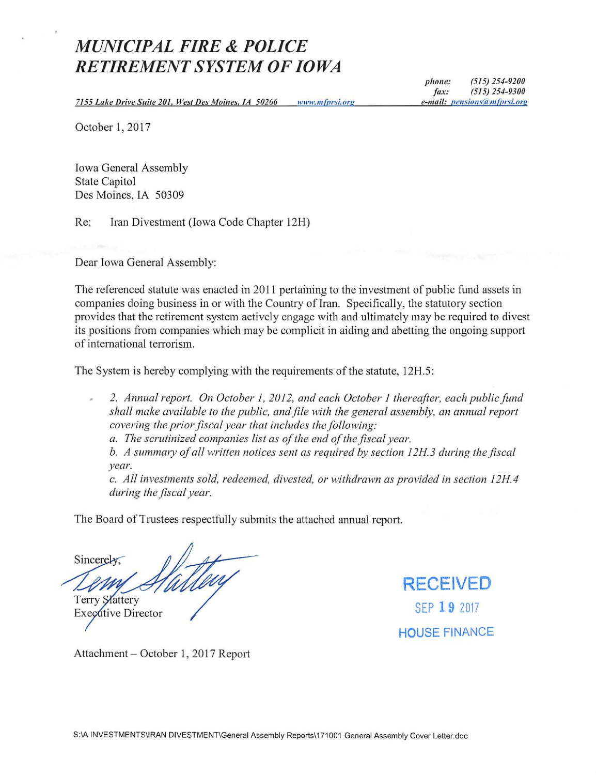# *MUNICIPAL FIRE* **&** *POLICE RETIREMENT SYSTEM OF IOWA*

*phone:* (515) 254-9200 *fax: (515) 254-9300 e-mail: pensions@mfprsi.org* 

7 *I 55 Lake Drive Suite 20 I, West Des Moines, IA 50266*  w11*1m111fnrsi.org* 

October 1, 2017

Iowa General Assembly State Capitol Des Moines, IA 50309

Re: Iran Divestment (Iowa Code Chapter 12H)

Dear Iowa General Assembly:

The referenced statute was enacted in 2011 pertaining to the investment of public fund assets in companies doing business in or with the Country of Iran. Specifically, the statutory section provides that the retirement system actively engage with and ultimately may be required to divest its positions from companies which may be complicit in aiding and abetting the ongoing support of international terrorism.

The System is hereby complying with the requirements of the statute, 12H.5:

*2. Annual report. On October 1, 2012, and each October 1 thereafter, each public fund shall make available to the public, and file with the general assembly, an annual report covering the prior fiscal year that includes the following:* 

*a. The scrutinized companies list as of the end of the fiscal year.* 

*b. A summmy of all written notices sent as required by section 12H3 during the fiscal year.* 

c. *All investments sold, redeemed, divested, or withdrawn as provided in section 12H.4 during the fiscal year.* 

The Board of Trustees respectfully submits the attached ammal report.

Sincerely

**Terry Slattery Executive Director** 

**RECEIVED**  SEP **19** 2017 **HOUSE** FINANCE

Attachment - October 1, 2017 Report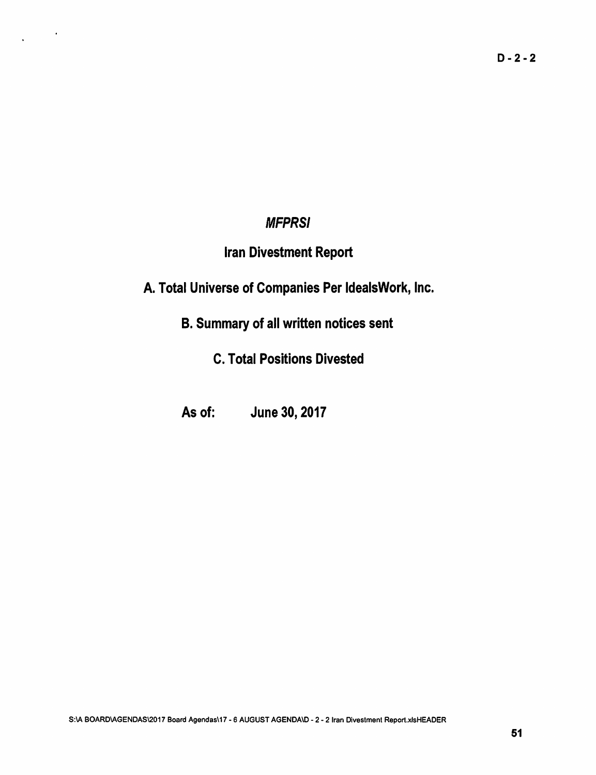## **MFPRSI**

 $\mathcal{L}^{\text{max}}$ 

## Iran Divestment Report

A. Total Universe of Companies Per ldealsWork, Inc.

B. Summary of all written notices sent

C. Total Positions Divested

As of: June 30, 2017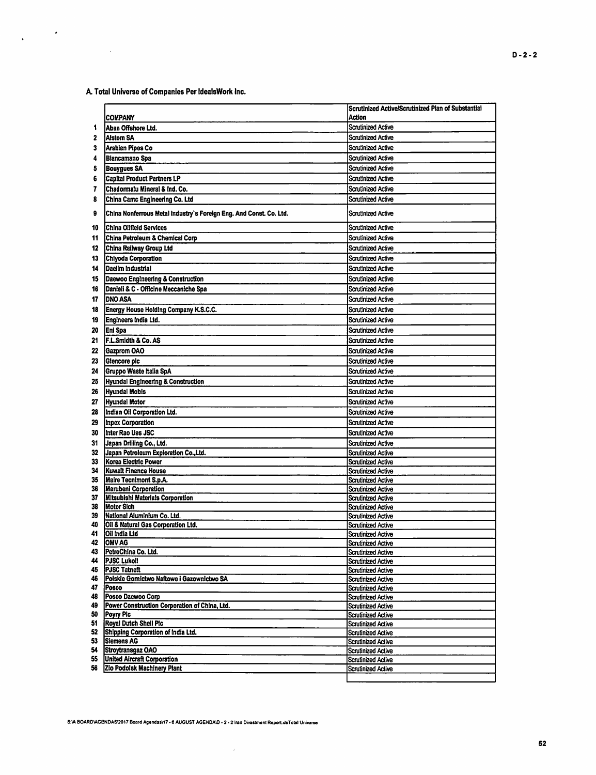A. Total Universe of Companies Per IdealsWork Inc.

 $\sim 10$ 

 $\frac{1}{2} \left( \frac{1}{2} \right) \frac{d^2}{dx^2}$ 

|          |                                                                    | Scrutinized Active/Scrutinized Plan of Substantial     |
|----------|--------------------------------------------------------------------|--------------------------------------------------------|
|          | <b>COMPANY</b>                                                     | Action                                                 |
| 1        | Aban Offshore Ltd.                                                 | <b>Scrutinized Active</b>                              |
| 2        | <b>Alstom SA</b>                                                   | <b>Scrutinized Active</b>                              |
| 3        | Arabian Pipes Co                                                   | <b>Scrutinized Active</b>                              |
| 4        | Biancamano Spa                                                     | <b>Scrutinized Active</b>                              |
| 5        | <b>Bouygues SA</b>                                                 | <b>Scrutinized Active</b>                              |
| 6        | Capital Product Partners LP                                        | Scrutinized Active                                     |
| 7        | Chadormalu Mineral & Ind. Co.                                      | <b>Scrutinized Active</b>                              |
| 8        | China Camc Engineering Co. Ltd                                     | <b>Scrutinized Active</b>                              |
| 9        | China Nonferrous Metal Industry's Foreign Eng. And Const. Co. Ltd. | <b>Scrutinized Active</b>                              |
| 10       | <b>China Oilfield Services</b>                                     | <b>Scrutinized Active</b>                              |
| 11       | China Petroleum & Chemical Corp                                    | Scrutinized Active                                     |
| 12       | China Railway Group Ltd                                            | <b>Scrutinized Active</b>                              |
| 13       | Chiyoda Corporation                                                | <b>Scrutinized Active</b>                              |
| 14       | Daelim Industrial                                                  | <b>Scrutinized Active</b>                              |
| 15       | Daewoo Engineering & Construction                                  | Scrutinized Active                                     |
| 16       | Danieli & C - Officine Meccaniche Spa                              | <b>Scrutinized Active</b>                              |
| 17       | <b>DNO ASA</b>                                                     | <b>Scrutinized Active</b>                              |
| 18       | Energy House Holding Company K.S.C.C.                              | <b>Scrutinized Active</b>                              |
| 19       | Engineers India Ltd.                                               | <b>Scrutinized Active</b>                              |
| 20       | Eni Spa                                                            | <b>Scrutinized Active</b>                              |
| 21       | <b>F.L.Smidth &amp; Co. AS</b>                                     | Scrutinized Active                                     |
| 22       | <b>Gazprom OAO</b>                                                 | <b>Scrutinized Active</b>                              |
| 23       | Glencore plc                                                       | Scrutinized Active                                     |
| 24       | Gruppo Waste Italia SpA                                            | <b>Scrutinized Active</b>                              |
| 25       | Hyundai Engineering & Construction                                 | Scrutinized Active                                     |
| 26       | <b>Hyundal Mobis</b>                                               | Scrutinized Active                                     |
| 27       | <b>Hyundai Motor</b>                                               | Scrutinized Active                                     |
| 28       | Indian Oil Corporation Ltd.                                        | Scrutinized Active                                     |
| 29       | Inpex Corporation                                                  | <b>Scrutinized Active</b>                              |
| 30       | Inter Rao Ues JSC                                                  | <b>Scrutinized Active</b>                              |
| 31       | Japan Drilling Co., Ltd.                                           | <b>Scrutinized Active</b>                              |
| 32       | Japan Petroleum Exploration Co., Ltd.                              | <b>Scrutinized Active</b>                              |
| 33       | Korea Electric Power                                               | <b>Scrutinized Active</b>                              |
| 34       | Kuwait Finance House                                               | <b>Scrutinized Active</b>                              |
| 35       | <b>Maire Tecnimont S.p.A.</b>                                      | <b>Scrutinized Active</b>                              |
| 36       | <b>Marubeni Corporation</b>                                        | Scrutinized Active                                     |
| 37<br>38 | <b>Mitsubishi Materials Corporation</b><br><b>Motor Sich</b>       | <b>Scrutinized Active</b>                              |
| 39       | National Aluminium Co. Ltd.                                        | <b>Scrutinized Active</b><br>Scrutinized Active        |
| 40       | Oil & Natural Gas Corporation Ltd.                                 | <b>Scrutinized Active</b>                              |
| 41       | Oil India Ltd                                                      | <b>Scrutinized Active</b>                              |
| 42       | <b>OMV AG</b>                                                      | <b>Scrutinized Active</b>                              |
| 43       | PetroChina Co. Ltd.                                                | <b>Scrutinized Active</b>                              |
| 44       | <b>PJSC Lukoil</b>                                                 | <b>Scrutinized Active</b>                              |
| 45       | <b>PJSC Tatneft</b>                                                | <b>Scrutinized Active</b>                              |
| 46<br>47 | Polskie Gomictwo Naftowe i Gazownictwo SA<br><b>Posco</b>          | <b>Scrutinized Active</b>                              |
| 48       | Posco Daewoo Corp                                                  | <b>Scrutinized Active</b><br><b>Scrutinized Active</b> |
| 49       | Power Construction Corporation of China, Ltd.                      | <b>Scrutinized Active</b>                              |
| 50       | Poyry Pic                                                          | <b>Scrutinized Active</b>                              |
| 51       | Royal Dutch Shell Pic                                              | <b>Scrutinized Active</b>                              |
| 52       | Shipping Corporation of India Ltd.                                 | <b>Scrutinized Active</b>                              |
| 53       | <b>Siemens AG</b>                                                  | <b>Scrutinized Active</b>                              |
| 54       | Stroytransgaz OAO                                                  | <b>Scrutinized Active</b>                              |
| 55<br>56 | <b>United Aircraft Corporation</b><br>Zio Podolsk Machinery Plant  | <b>Scrutinized Active</b>                              |
|          |                                                                    | Scrutinized Active                                     |
|          |                                                                    |                                                        |

 $\mathcal{L}$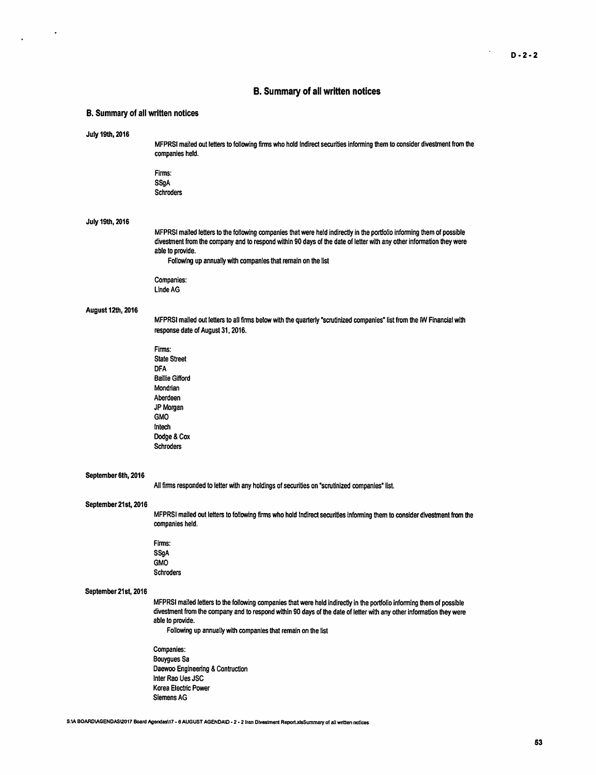$\mathcal{L}^{\pm}$ 

## B. Summary of all written notices

## B. Summary of all written notices

 $\frac{1}{2} \left( \frac{1}{2} \right)$  ,  $\frac{1}{2} \left( \frac{1}{2} \right)$ 

| July 19th, 2016      | MFPRSI mailed out letters to following firms who hold Indirect securities informing them to consider divestment from the<br>companies held.<br>Firms:                                                                                                                                                                              |
|----------------------|------------------------------------------------------------------------------------------------------------------------------------------------------------------------------------------------------------------------------------------------------------------------------------------------------------------------------------|
|                      | SSgA<br><b>Schroders</b>                                                                                                                                                                                                                                                                                                           |
| July 19th, 2016      |                                                                                                                                                                                                                                                                                                                                    |
|                      | MFPRSI mailed letters to the following companies that were held indirectly in the portfolio informing them of possible<br>divestment from the company and to respond within 90 days of the date of letter with any other information they were<br>able to provide.<br>Following up annually with companies that remain on the list |
|                      | Companies:<br><b>Linde AG</b>                                                                                                                                                                                                                                                                                                      |
| August 12th, 2016    | MFPRSI mailed out letters to all firms below with the quarterly "scrutinized companies" list from the IW Financial with<br>response date of August 31, 2016.                                                                                                                                                                       |
|                      | Firms:<br><b>State Street</b><br><b>DFA</b><br><b>Baillie Gifford</b>                                                                                                                                                                                                                                                              |
|                      | Mondrian<br>Aberdeen<br>JP Morgan<br><b>GMO</b>                                                                                                                                                                                                                                                                                    |
|                      | Intech<br>Dodge & Cox<br><b>Schroders</b>                                                                                                                                                                                                                                                                                          |
| September 6th, 2016  | All firms responded to letter with any holdings of securities on "scrutinized companies" list.                                                                                                                                                                                                                                     |
| September 21st, 2016 | MFPRSI mailed out letters to following firms who hold Indirect securities informing them to consider divestment from the<br>companies held.                                                                                                                                                                                        |
|                      | Firms:<br>SSgA<br><b>GMO</b><br><b>Schroders</b>                                                                                                                                                                                                                                                                                   |
| September 21st, 2016 | MFPRSI mailed letters to the following companies that were held indirectly in the portfolio informing them of possible                                                                                                                                                                                                             |
|                      | divestment from the company and to respond within 90 days of the date of letter with any other information they were<br>able to provide.<br>Following up annually with companies that remain on the list                                                                                                                           |
|                      | <b>Companies:</b><br><b>Bouygues Sa</b><br>Daewoo Engineering & Contruction<br>Inter Rao Ues JSC<br>Korea Electric Power<br><b>Siemens AG</b>                                                                                                                                                                                      |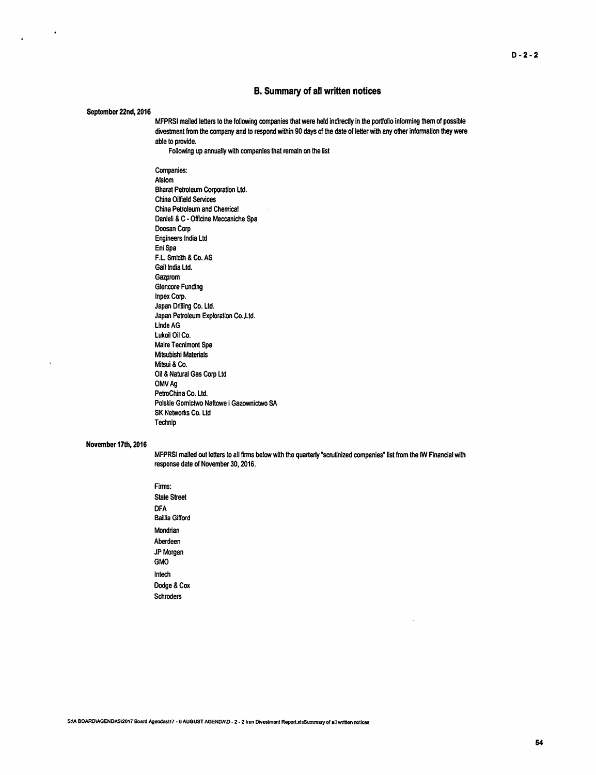#### B. Summary of all written notices

#### September 22nd, 2016

 $\bullet$ 

MFPRSI mailed letters to the following companies that were held indirectly in the portfolio infonning them of possible divestment from the company and to respond within 90 days of the date of letter with any other information they were able to provide.

Following up annually with companies that remain on the list

Companies: Alstom Bharat Petroleum Corporation ltd. China Oilfield Services China Petroleum and Chemical Danieli & C - Officine Meccaniche Spa Doosan Corp Engineers India ltd Eni Spa F.L. Smidth & Co. AS Gail India ltd. Gazprom Glencore Funding Inpex Corp. Japan Drilling Co. Ltd. Japan Petroleum Exploration Co.,Ltd. Linde AG Lukoil Oil Co. Maire Tecnimont Spa Mitsubishi Materials Mitsui & Co. Oil & Natural Gas Corp Ltd OMVAg PetroChina Co. Ltd. Polskie Gomictwo Naftowe i Gazownictwo SA SK Networks Co. Ltd Technip

#### November 17th, 2016

MFPRSI mailed out letters to all firms below with the quarterly "scrutinized companies" list from the IW Financial with response date of November 30, 2016.

Firms: State Street DFA Baillie Gifford Mondrian Aberdeen JP Morgan GMO lntech Dodge& Cox Schroders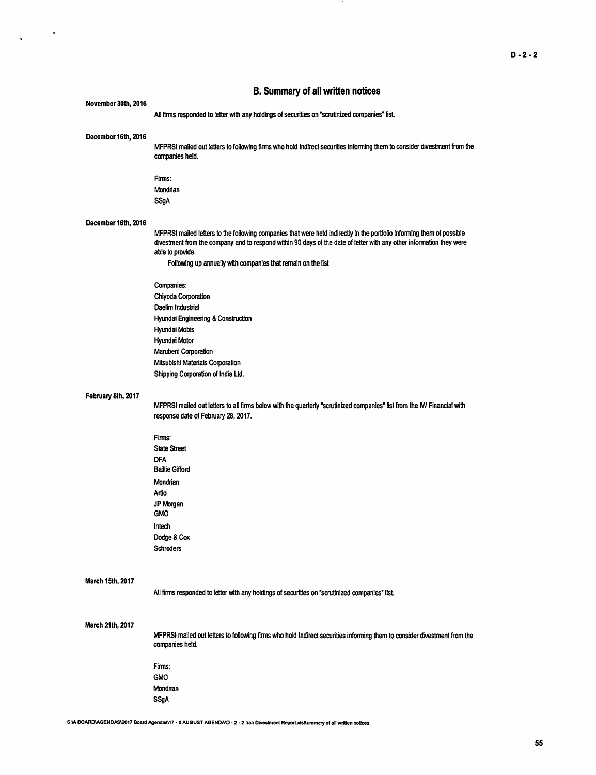### B. Summary of all written notices

 $\Delta_{\rm{max}}$  and  $\Delta_{\rm{max}}$ 

 $\sim$ 

| November 30th, 2016 | All firms responded to letter with any holdings of securities on "scrutinized companies" list.                                                                                                                                                                     |
|---------------------|--------------------------------------------------------------------------------------------------------------------------------------------------------------------------------------------------------------------------------------------------------------------|
| December 16th, 2016 | MFPRSI mailed out letters to following firms who hold Indirect securities informing them to consider divestment from the<br>companies held.                                                                                                                        |
|                     | Firms:                                                                                                                                                                                                                                                             |
|                     | Mondrian                                                                                                                                                                                                                                                           |
|                     | <b>SSgA</b>                                                                                                                                                                                                                                                        |
| December 16th, 2016 |                                                                                                                                                                                                                                                                    |
|                     | MFPRSI mailed letters to the following companies that were held indirectly in the portfolio informing them of possible<br>divestment from the company and to respond within 90 days of the date of letter with any other information they were<br>able to provide. |
|                     | Following up annually with companies that remain on the list                                                                                                                                                                                                       |
|                     | Companies:                                                                                                                                                                                                                                                         |
|                     | Chiyoda Corporation                                                                                                                                                                                                                                                |
|                     | Daelim Industrial                                                                                                                                                                                                                                                  |
|                     | Hyundai Engineering & Construction                                                                                                                                                                                                                                 |
|                     | Hyundai Mobis<br>Hyundai Motor                                                                                                                                                                                                                                     |
|                     | Marubeni Corporation                                                                                                                                                                                                                                               |
|                     | Mitsubishi Materials Corporation                                                                                                                                                                                                                                   |
|                     | Shipping Corporation of India Ltd.                                                                                                                                                                                                                                 |
| February 8th, 2017  |                                                                                                                                                                                                                                                                    |
|                     | MFPRSI mailed out letters to all firms below with the quarterly "scrutinized companies" list from the IW Financial with<br>response date of February 28, 2017.                                                                                                     |
|                     | Firms:                                                                                                                                                                                                                                                             |
|                     | <b>State Street</b>                                                                                                                                                                                                                                                |
|                     | <b>DFA</b><br><b>Baillie Gifford</b>                                                                                                                                                                                                                               |
|                     | Mondrian                                                                                                                                                                                                                                                           |
|                     | Artio                                                                                                                                                                                                                                                              |
|                     | JP Morgan<br><b>GMO</b>                                                                                                                                                                                                                                            |
|                     | Intech                                                                                                                                                                                                                                                             |
|                     | Dodge & Cox<br><b>Schroders</b>                                                                                                                                                                                                                                    |
|                     |                                                                                                                                                                                                                                                                    |
| March 15th, 2017    | All firms responded to letter with any holdings of securities on "scrutinized companies" list.                                                                                                                                                                     |
| March 21th, 2017    | MFPRSI mailed out letters to following firms who hold Indirect securities informing them to consider divestment from the<br>companies held.                                                                                                                        |
|                     | Firms:                                                                                                                                                                                                                                                             |
|                     | <b>GMO</b>                                                                                                                                                                                                                                                         |
|                     | Mondrian                                                                                                                                                                                                                                                           |
|                     | <b>SSgA</b>                                                                                                                                                                                                                                                        |
|                     |                                                                                                                                                                                                                                                                    |

S:\A BOARD\AGENDAS\2017 Board Agendas\17 - 6 AUGUST AGENDA\D - 2 - 2 Iran Divostment Report.xlsSummary of all written noticos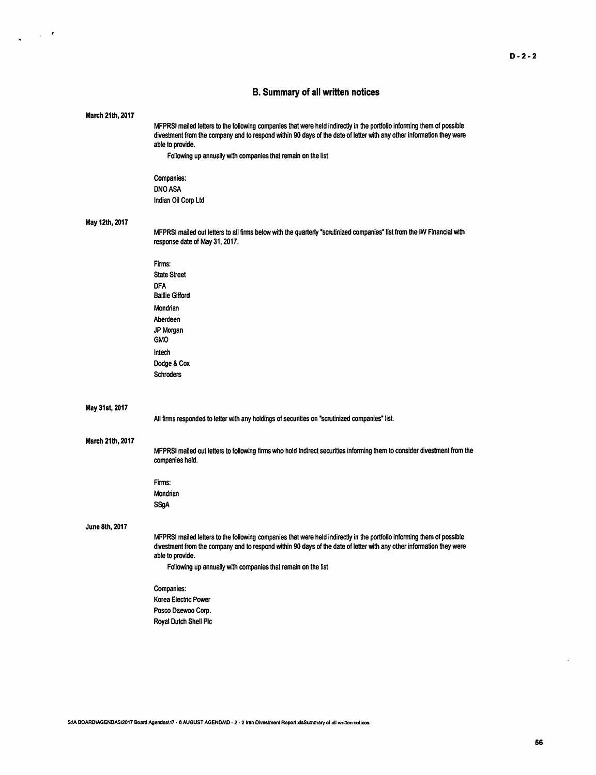## B. Summary of all written notices

 $\frac{1}{2} \left( \frac{1}{2} \right) \frac{1}{2} \left( \frac{1}{2} \right)$ 

| March 21th, 2017 |                                                                                                                                                                                                                                                                    |
|------------------|--------------------------------------------------------------------------------------------------------------------------------------------------------------------------------------------------------------------------------------------------------------------|
|                  | MFPRSI mailed letters to the following companies that were held indirectly in the portfolio informing them of possible<br>divestment from the company and to respond within 90 days of the date of letter with any other information they were<br>able to provide. |
|                  | Following up annually with companies that remain on the list                                                                                                                                                                                                       |
|                  | Companies:                                                                                                                                                                                                                                                         |
|                  | <b>DNO ASA</b>                                                                                                                                                                                                                                                     |
|                  | Indian Oil Corp Ltd                                                                                                                                                                                                                                                |
| May 12th, 2017   |                                                                                                                                                                                                                                                                    |
|                  | MFPRSI mailed out letters to all firms below with the quarterly "scrutinized companies" list from the IW Financial with<br>response date of May 31, 2017.                                                                                                          |
|                  | Firms:                                                                                                                                                                                                                                                             |
|                  | <b>State Street</b>                                                                                                                                                                                                                                                |
|                  | <b>DFA</b><br><b>Baillie Gifford</b>                                                                                                                                                                                                                               |
|                  | Mondrian                                                                                                                                                                                                                                                           |
|                  | Aberdeen                                                                                                                                                                                                                                                           |
|                  | JP Morgan<br><b>GMO</b>                                                                                                                                                                                                                                            |
|                  | Intech                                                                                                                                                                                                                                                             |
|                  | Dodge & Cox                                                                                                                                                                                                                                                        |
|                  | <b>Schroders</b>                                                                                                                                                                                                                                                   |
|                  |                                                                                                                                                                                                                                                                    |
|                  |                                                                                                                                                                                                                                                                    |
| May 31st, 2017   |                                                                                                                                                                                                                                                                    |
|                  | All firms responded to letter with any holdings of securities on "scrutinized companies" list.                                                                                                                                                                     |
|                  |                                                                                                                                                                                                                                                                    |
| March 21th, 2017 | MFPRSI mailed out letters to following firms who hold Indirect securities informing them to consider divestment from the<br>companies held.                                                                                                                        |
|                  | Firms:                                                                                                                                                                                                                                                             |
|                  | Mondrian                                                                                                                                                                                                                                                           |
|                  | SSgA                                                                                                                                                                                                                                                               |
|                  |                                                                                                                                                                                                                                                                    |
| June 8th, 2017   | MFPRSI mailed letters to the following companies that were held indirectly in the portfolio informing them of possible                                                                                                                                             |
|                  | divestment from the company and to respond within 90 days of the date of letter with any other information they were                                                                                                                                               |
|                  | able to provide.                                                                                                                                                                                                                                                   |
|                  | Following up annually with companies that remain on the list                                                                                                                                                                                                       |
|                  | Companies:                                                                                                                                                                                                                                                         |
|                  | Korea Electric Power                                                                                                                                                                                                                                               |
|                  | Posco Daewoo Corp.                                                                                                                                                                                                                                                 |
|                  | Royal Dutch Shell Plc                                                                                                                                                                                                                                              |